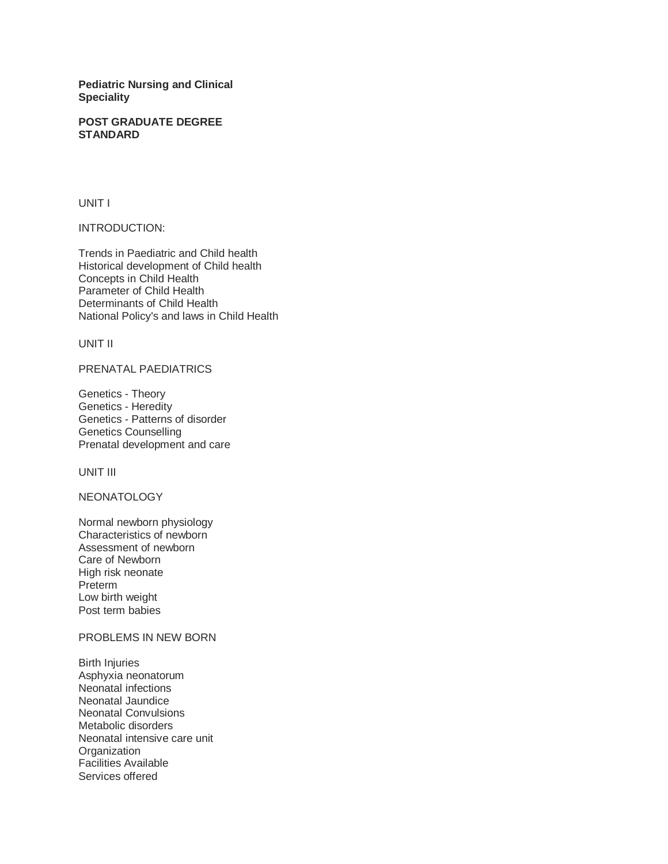**Pediatric Nursing and Clinical Speciality** 

### **POST GRADUATE DEGREE STANDARD**

UNIT I

INTRODUCTION:

Trends in Paediatric and Child health Historical development of Child health Concepts in Child Health Parameter of Child Health Determinants of Child Health National Policy's and laws in Child Health

UNIT II

PRENATAL PAEDIATRICS

Genetics - Theory Genetics - Heredity Genetics - Patterns of disorder Genetics Counselling Prenatal development and care

UNIT III

NEONATOLOGY

Normal newborn physiology Characteristics of newborn Assessment of newborn Care of Newborn High risk neonate Preterm Low birth weight Post term babies

## PROBLEMS IN NEW BORN

Birth Injuries Asphyxia neonatorum Neonatal infections Neonatal Jaundice Neonatal Convulsions Metabolic disorders Neonatal intensive care unit **Organization** Facilities Available Services offered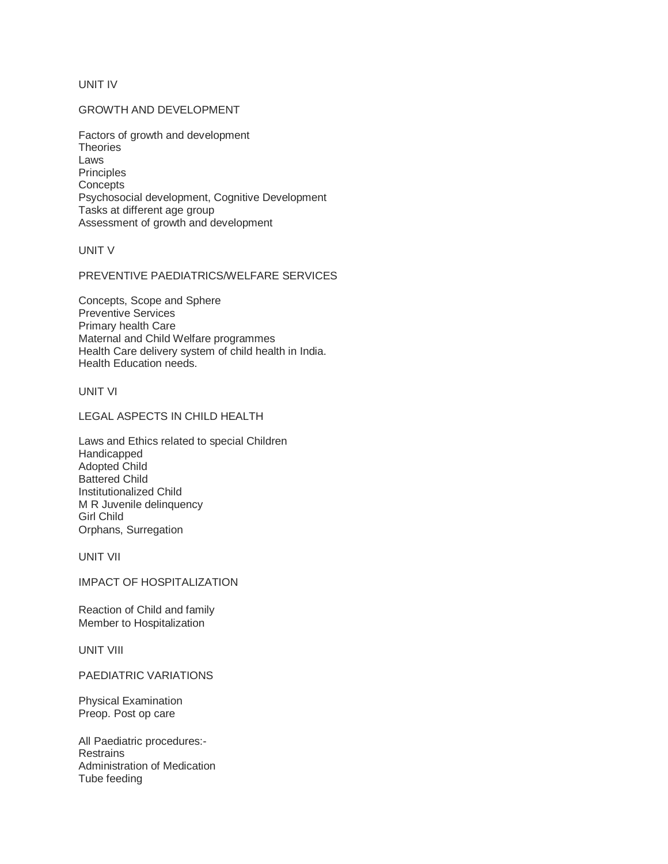UNIT IV

# GROWTH AND DEVELOPMENT

Factors of growth and development **Theories** Laws **Principles Concepts** Psychosocial development, Cognitive Development Tasks at different age group Assessment of growth and development

UNIT V

PREVENTIVE PAEDIATRICS/WELFARE SERVICES

Concepts, Scope and Sphere Preventive Services Primary health Care Maternal and Child Welfare programmes Health Care delivery system of child health in India. Health Education needs.

UNIT VI

LEGAL ASPECTS IN CHILD HEALTH

Laws and Ethics related to special Children Handicapped Adopted Child Battered Child Institutionalized Child M R Juvenile delinquency Girl Child Orphans, Surregation

UNIT VII

IMPACT OF HOSPITALIZATION

Reaction of Child and family Member to Hospitalization

UNIT VIII

PAEDIATRIC VARIATIONS

Physical Examination Preop. Post op care

All Paediatric procedures:- **Restrains** Administration of Medication Tube feeding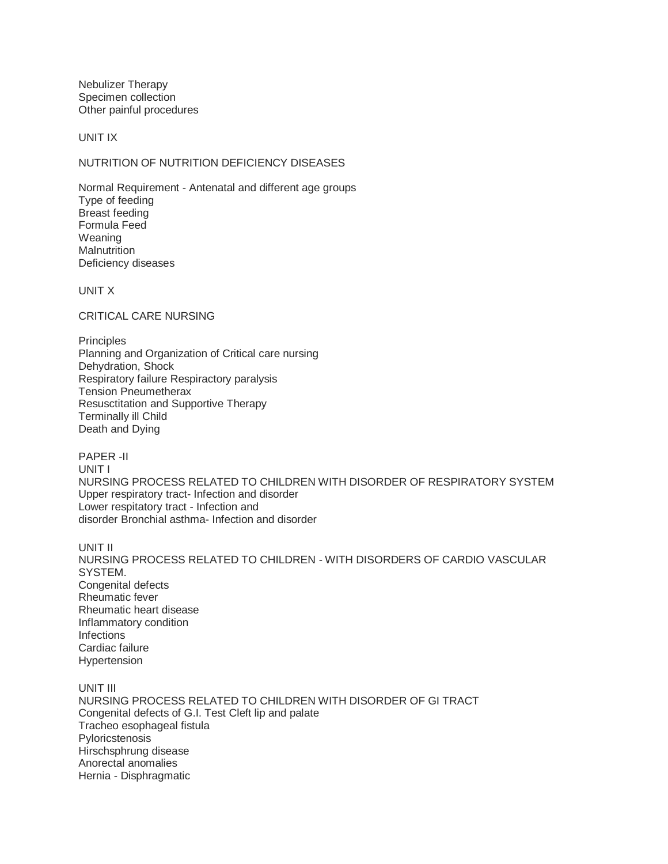Nebulizer Therapy Specimen collection Other painful procedures

UNIT IX

# NUTRITION OF NUTRITION DEFICIENCY DISEASES

Normal Requirement - Antenatal and different age groups Type of feeding Breast feeding Formula Feed Weaning **Malnutrition** Deficiency diseases

UNIT X

CRITICAL CARE NURSING

**Principles** Planning and Organization of Critical care nursing Dehydration, Shock Respiratory failure Respiractory paralysis Tension Pneumetherax Resusctitation and Supportive Therapy Terminally ill Child Death and Dying

PAPER -II UNIT I NURSING PROCESS RELATED TO CHILDREN WITH DISORDER OF RESPIRATORY SYSTEM Upper respiratory tract- Infection and disorder Lower respitatory tract - Infection and disorder Bronchial asthma- Infection and disorder

UNIT II NURSING PROCESS RELATED TO CHILDREN - WITH DISORDERS OF CARDIO VASCULAR SYSTEM. Congenital defects Rheumatic fever Rheumatic heart disease Inflammatory condition **Infections** Cardiac failure Hypertension

UNIT III NURSING PROCESS RELATED TO CHILDREN WITH DISORDER OF GI TRACT Congenital defects of G.I. Test Cleft lip and palate Tracheo esophageal fistula Pyloricstenosis Hirschsphrung disease Anorectal anomalies Hernia - Disphragmatic